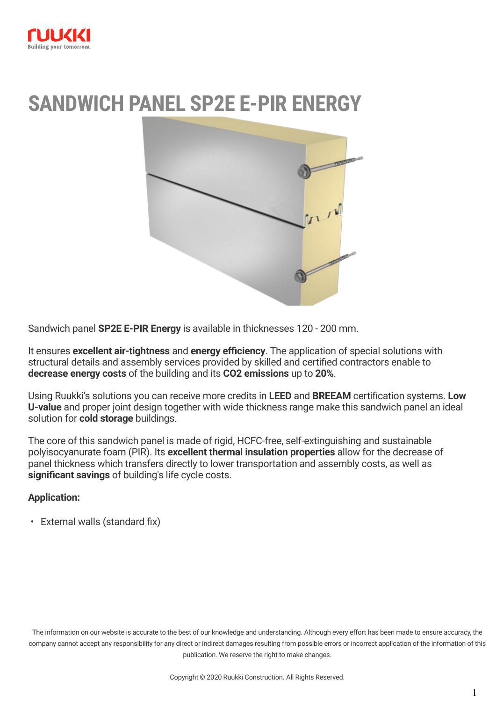

# **SANDWICH PANEL SP2E E-PIR ENERGY**



Sandwich panel **SP2E E-PIR Energy** is available in thicknesses 120 - 200 mm.

It ensures **excellent air-tightness** and **energy efficiency**. The application of special solutions with structural details and assembly services provided by skilled and certified contractors enable to **decrease energy costs** of the building and its **CO2 emissions** up to **20%**.

Using Ruukki's solutions you can receive more credits in **LEED** and **BREEAM** certification systems. **Low U-value** and proper joint design together with wide thickness range make this sandwich panel an ideal solution for **cold storage** buildings.

The core of this sandwich panel is made of rigid, HCFC-free, self-extinguishing and sustainable polyisocyanurate foam (PIR). Its **excellent thermal insulation properties** allow for the decrease of panel thickness which transfers directly to lower transportation and assembly costs, as well as **significant savings** of building's life cycle costs.

#### **Application:**

• External walls (standard fix)

The information on our website is accurate to the best of our knowledge and understanding. Although every effort has been made to ensure accuracy, the company cannot accept any responsibility for any direct or indirect damages resulting from possible errors or incorrect application of the information of this publication. We reserve the right to make changes.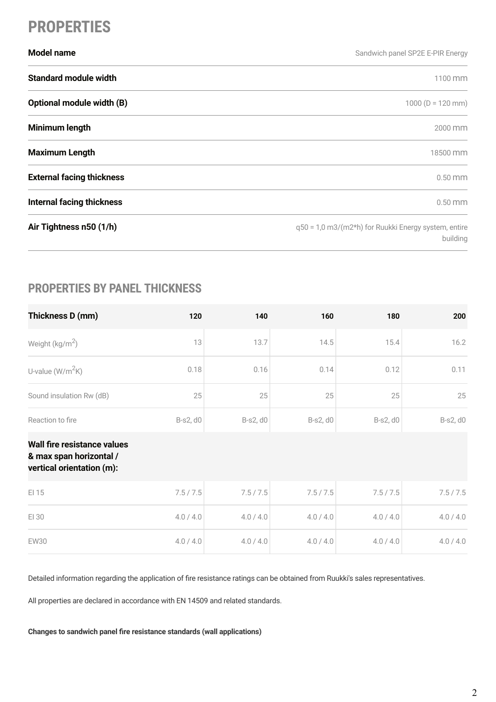## **PROPERTIES**

| <b>Model name</b>                | Sandwich panel SP2E E-PIR Energy                                 |
|----------------------------------|------------------------------------------------------------------|
| <b>Standard module width</b>     | 1100 mm                                                          |
| Optional module width (B)        | $1000(D = 120 mm)$                                               |
| Minimum length                   | 2000 mm                                                          |
| <b>Maximum Length</b>            | 18500 mm                                                         |
| <b>External facing thickness</b> | $0.50$ mm                                                        |
| <b>Internal facing thickness</b> | $0.50$ mm                                                        |
| Air Tightness n50 (1/h)          | q50 = 1,0 m3/(m2*h) for Ruukki Energy system, entire<br>building |

#### **PROPERTIES BY PANEL THICKNESS**

| Thickness D (mm)                                                                           | 120       | 140       | 160       | 180       | 200       |
|--------------------------------------------------------------------------------------------|-----------|-----------|-----------|-----------|-----------|
| Weight ( $\text{kg/m}^2$ )                                                                 | 13        | 13.7      | 14.5      | 15.4      | 16.2      |
| U-value $(W/m^2K)$                                                                         | 0.18      | 0.16      | 0.14      | 0.12      | 0.11      |
| Sound insulation Rw (dB)                                                                   | 25        | 25        | 25        | 25        | 25        |
| Reaction to fire                                                                           | B-s2, d0  | B-s2, d0  | B-s2, d0  | B-s2, d0  | B-s2, d0  |
| <b>Wall fire resistance values</b><br>& max span horizontal /<br>vertical orientation (m): |           |           |           |           |           |
| EI 15                                                                                      | 7.5 / 7.5 | 7.5 / 7.5 | 7.5 / 7.5 | 7.5 / 7.5 | 7.5 / 7.5 |
| EI 30                                                                                      | 4.0 / 4.0 | 4.0 / 4.0 | 4.0 / 4.0 | 4.0 / 4.0 | 4.0 / 4.0 |
| <b>EW30</b>                                                                                | 4.0 / 4.0 | 4.0 / 4.0 | 4.0 / 4.0 | 4.0 / 4.0 | 4.0 / 4.0 |

Detailed information regarding the application of fire resistance ratings can be obtained from Ruukki's sales representatives.

All properties are declared in accordance with EN 14509 and related standards.

**[Changes to sandwich panel fire resistance standards \(wall applications\)](https://www.ruukki.com/b2b/this-is-us/news/news-details/07-11-2018-changes-to-sandwich-panel-fire-resistance-standards-(wall-applications))**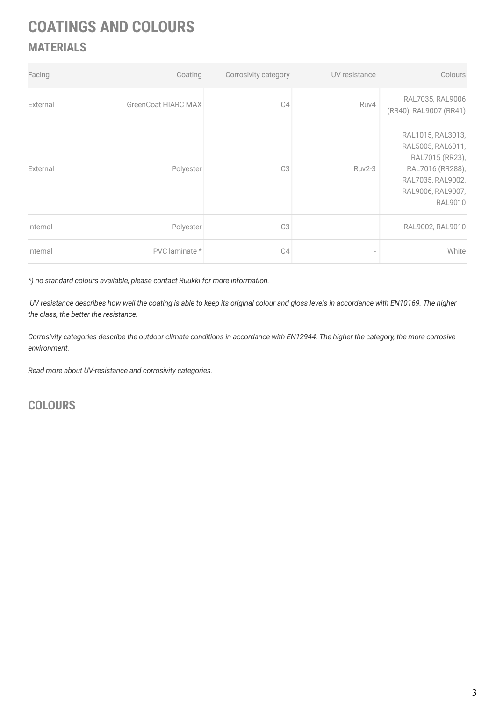## **MATERIALS COATINGS AND COLOURS**

| Facing   | Coating                    | Corrosivity category | UV resistance | Colours                                                                                                                                   |
|----------|----------------------------|----------------------|---------------|-------------------------------------------------------------------------------------------------------------------------------------------|
| External | <b>GreenCoat HIARC MAX</b> | C4                   | Ruv4          | RAL7035, RAL9006<br>(RR40), RAL9007 (RR41)                                                                                                |
| External | Polyester                  | C <sub>3</sub>       | <b>Ruv2-3</b> | RAL1015, RAL3013,<br>RAL5005, RAL6011,<br>RAL7015 (RR23),<br>RAL7016 (RR288),<br>RAL7035, RAL9002,<br>RAL9006, RAL9007,<br><b>RAL9010</b> |
| Internal | Polyester                  | C <sub>3</sub>       |               | RAL9002, RAL9010                                                                                                                          |
| Internal | PVC laminate *             | C4                   |               | White                                                                                                                                     |

*\*) no standard colours available, please contact Ruukki for more information.*

*UV resistance describes how well the coating is able to keep its original colour and gloss levels in accordance with EN10169. The higher the class, the better the resistance.*

*Corrosivity categories describe the outdoor climate conditions in accordance with EN12944. The higher the category, the more corrosive environment.*

*[Read more about UV-resistance and corrosivity categories.](https://www.ruukki.com/b2b/products/sandwich-panels#sandwich_panel_material)*

**COLOURS**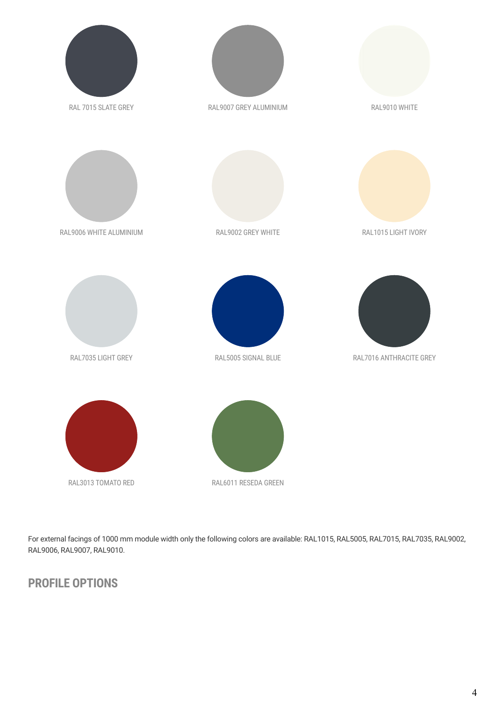

For external facings of 1000 mm module width only the following colors are available: RAL1015, RAL5005, RAL7015, RAL7035, RAL9002, RAL9006, RAL9007, RAL9010.

#### **PROFILE OPTIONS**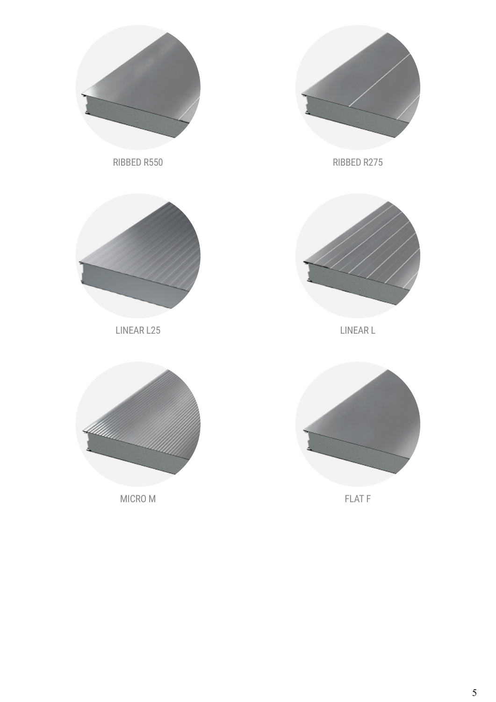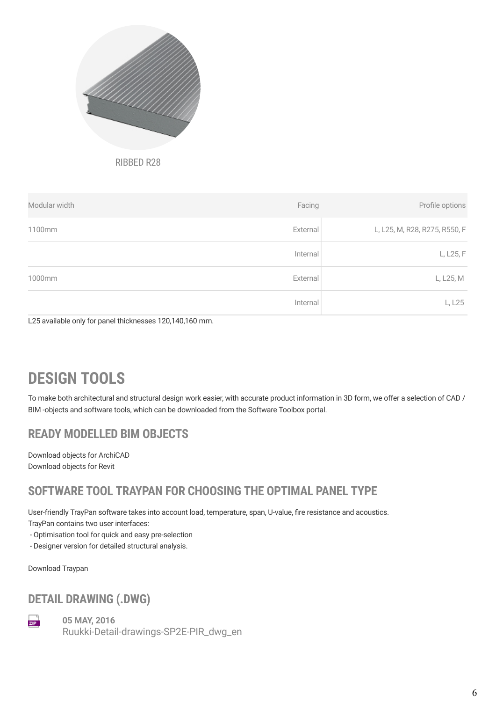

RIBBED R28

| Modular width | Facing   | Profile options               |
|---------------|----------|-------------------------------|
| 1100mm        | External | L, L25, M, R28, R275, R550, F |
|               | Internal | L, L25, F                     |
| 1000mm        | External | L, L25, M                     |
|               | Internal | L, L25                        |

L25 available only for panel thicknesses 120,140,160 mm.

## **DESIGN TOOLS**

To make both architectural and structural design work easier, with accurate product information in 3D form, we offer a selection of CAD / BIM -objects and software tools, which can be downloaded from the Software Toolbox portal.

### **READY MODELLED BIM OBJECTS**

[Download objects for ArchiCAD](https://software.ruukki.com/PublishedService?file=&pageID=3&action=view&groupID=330&OpenGroups=330) [Download objects for Revit](https://software.ruukki.com/PublishedService?file=&pageID=3&action=view&groupID=336&OpenGroups=336)

### **SOFTWARE TOOL TRAYPAN FOR CHOOSING THE OPTIMAL PANEL TYPE**

User-friendly TrayPan software takes into account load, temperature, span, U-value, fire resistance and acoustics.

TrayPan contains two user interfaces:

- Optimisation tool for quick and easy pre-selection

- Designer version for detailed structural analysis.

[Download Traypan](http://software.ruukki.com/PublishedService?file=&pageID=3&action=view&groupID=262&OpenGroups=262)

#### **DETAIL DRAWING (.DWG)**



**05 MAY, 2016** [Ruukki-Detail-drawings-SP2E-PIR\\_dwg\\_en](https://cdn.ruukki.com/docs/default-source/b2b-documents/sandwich-panels/13ruukki-detail-drawings-sp2e-pu_dwg_en.zip?sfvrsn=874cf584_34)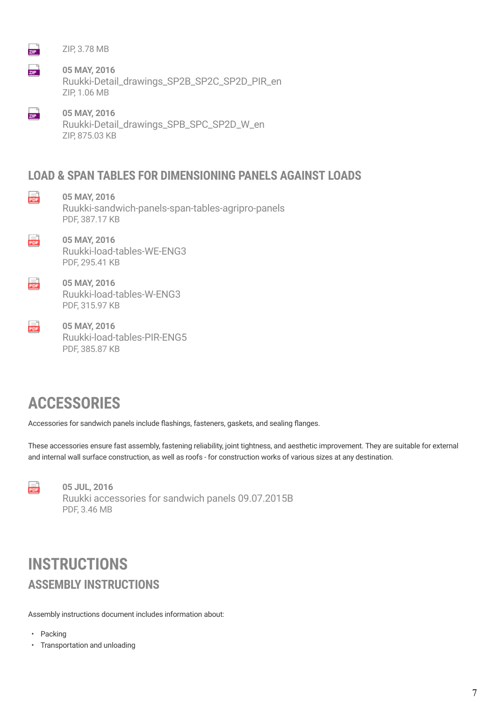$\overline{\mathbf{z}}$  is a set of  $\overline{\mathbf{z}}$ 

 $\frac{1}{212}$ 

 $\frac{1}{20P}$ 

ZIP, 3.78 MB

**05 MAY, 2016**

[Ruukki-Detail\\_drawings\\_SP2B\\_SP2C\\_SP2D\\_PIR\\_en](https://cdn.ruukki.com/docs/default-source/b2b-documents/sandwich-panels/9ruukki-detail_drawings_sp2b_sp2c_sp2d_pu_en.zip?sfvrsn=8c4cf584_45) ZIP, 1.06 MB

**05 MAY, 2016** [Ruukki-Detail\\_drawings\\_SPB\\_SPC\\_SP2D\\_W\\_en](https://cdn.ruukki.com/docs/default-source/b2b-documents/sandwich-panels/12ruukki-detail_drawings_spb_spc_sp2d_w_en.zip?sfvrsn=9a4cf584_33) ZIP, 875.03 KB

#### **LOAD & SPAN TABLES FOR DIMENSIONING PANELS AGAINST LOADS**

- **05 MAY, 2016** [Ruukki-sandwich-panels-span-tables-agripro-panels](https://cdn.ruukki.com/docs/default-source/b2b-documents/sandwich-panels/27ruukki-sandwich-panels-span-tables-agripro-panels.pdf?sfvrsn=2740f584_35) PDF, 387.17 KB
- **For**

 $\frac{1}{\text{p}_0}$ 

FOF

**05 MAY, 2016** [Ruukki-load-tables-WE-ENG3](https://cdn.ruukki.com/docs/default-source/b2b-documents/sandwich-panels/23ruukki-load-tables-we-eng3.pdf?sfvrsn=1640f584_33) PDF, 295.41 KB

Por<sup>3</sup> **05 MAY, 2016** [Ruukki-load-tables-W-ENG3](https://cdn.ruukki.com/docs/default-source/b2b-documents/sandwich-panels/24ruukki-load-tables-w-eng3.pdf?sfvrsn=3d40f584_31) PDF, 315.97 KB

> **05 MAY, 2016** [Ruukki-load-tables-PIR-ENG5](https://cdn.ruukki.com/docs/default-source/b2b-documents/sandwich-panels/21ruukki-load-tables-pir-eng5.pdf?sfvrsn=240f584_41) PDF, 385.87 KB

### **ACCESSORIES**

Accessories for sandwich panels include flashings, fasteners, gaskets, and sealing flanges.

These accessories ensure fast assembly, fastening reliability, joint tightness, and aesthetic improvement. They are suitable for external and internal wall surface construction, as well as roofs - for construction works of various sizes at any destination.



**05 JUL, 2016** [Ruukki accessories for sandwich panels 09.07.2015B](https://cdn.ruukki.com/docs/default-source/b2b-documents/sandwich-panels/ruukki_accessories_for_sandwich_panels_09-07-2015b.pdf?sfvrsn=467bbb84_28) PDF, 3.46 MB

### **ASSEMBLY INSTRUCTIONS INSTRUCTIONS**

Assembly instructions document includes information about:

- Packing
- Transportation and unloading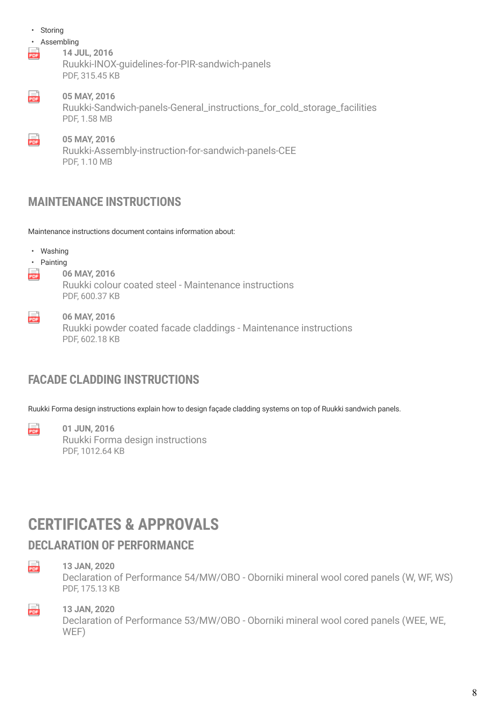• Storing **Assembling 14 JUL, 2016** [Ruukki-INOX-guidelines-for-PIR-sandwich-panels](https://cdn.ruukki.com/docs/default-source/b2b-documents/sandwich-panels/ruukki-inox-guidelines.pdf?sfvrsn=a71b884_30) PDF, 315.45 KB **Lett 05 MAY, 2016** [Ruukki-Sandwich-panels-General\\_instructions\\_for\\_cold\\_storage\\_facilities](https://cdn.ruukki.com/docs/default-source/b2b-documents/sandwich-panels/7ruukki-sandwich-panels-general_instructions_for_cold_storage_facilities.pdf?sfvrsn=eb40f584_28) PDF, 1.58 MB **For 05 MAY, 2016** [Ruukki-Assembly-instruction-for-sandwich-panels-CEE](https://cdn.ruukki.com/docs/default-source/b2b-documents/sandwich-panels/1ruukki-assembly-instruction-for-sandwich-panels-cee.pdf?sfvrsn=1b41f584_28) PDF, 1.10 MB

#### **MAINTENANCE INSTRUCTIONS**

Maintenance instructions document contains information about:

- Washing
- Painting
	- **06 MAY, 2016**

[Ruukki colour coated steel - Maintenance instructions](https://cdn.ruukki.com/docs/default-source/b2b-documents/facades/joint-folder/ruukki-colour-coated-steels-maintenance-instructions.pdf?sfvrsn=9f5cf584_42) PDF, 600.37 KB

曓

POF<sup>1</sup>

**06 MAY, 2016** [Ruukki powder coated facade claddings - Maintenance instructions](https://cdn.ruukki.com/docs/default-source/b2b-documents/facades/joint-folder/ruukki-maintenance-instructions-powder-coated-facade-claddings.pdf?sfvrsn=905cf584_30) PDF, 602.18 KB

### **FACADE CLADDING INSTRUCTIONS**

Ruukki Forma design instructions explain how to design façade cladding systems on top of Ruukki sandwich panels.



**01 JUN, 2016** [Ruukki Forma design instructions](https://cdn.ruukki.com/docs/default-source/b2b-documents/facades/forma/ruukki-forma-design-instructions_09_2019.pdf?sfvrsn=e493c884_35) PDF, 1012.64 KB

### **CERTIFICATES & APPROVALS**

### **DECLARATION OF PERFORMANCE**

**For** 

#### **13 JAN, 2020**

[Declaration of Performance 54/MW/OBO - Oborniki mineral wool cored panels \(W, WF, WS\)](https://cdn.ruukki.com/docs/default-source/b2b-documents/sandwich-panels/dop_54_mw_obopanels_20191022_en.pdf?sfvrsn=eac19985_4) PDF, 175.13 KB

曓

#### **13 JAN, 2020**

[Declaration of Performance 53/MW/OBO - Oborniki mineral wool cored panels \(WEE, WE,](https://cdn.ruukki.com/docs/default-source/b2b-documents/sandwich-panels/dop_53_mw_obopanels_20191022_en.pdf?sfvrsn=1fc29985_4) [WEF\)](https://cdn.ruukki.com/docs/default-source/b2b-documents/sandwich-panels/dop_53_mw_obopanels_20191022_en.pdf?sfvrsn=1fc29985_4)